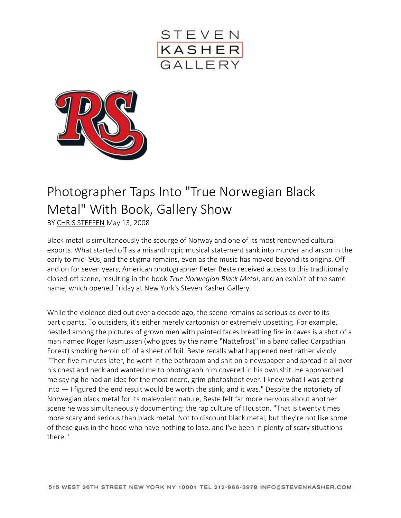



## Photographer Taps Into "True Norwegian Black Metal" With Book, Gallery Show

BY [CHRIS STEFFEN](http://www.rollingstone.com/contributor/chris-steffen) May 13, 2008

Black metal is simultaneously the scourge of Norway and one of its most renowned cultural exports. What started off as a misanthropic musical statement sank into murder and arson in the early to mid-'90s, and the stigma remains, even as the music has moved beyond its origins. Off and on for seven years, American photographer Peter Beste received access to this traditionally closed-off scene, resulting in the book *True Norwegian Black Metal*, and an exhibit of the same name, which opened Friday at New York's Steven Kasher Gallery.

While the violence died out over a decade ago, the scene remains as serious as ever to its participants. To outsiders, it's either merely cartoonish or extremely upsetting. For example, nestled among the pictures of grown men with painted faces breathing fire in caves is a shot of a man named Roger Rasmussen (who goes by the name "Nattefrost" in a band called Carpathian Forest) smoking heroin off of a sheet of foil. Beste recalls what happened next rather vividly. "Then five minutes later, he went in the bathroom and shit on a newspaper and spread it all over his chest and neck and wanted me to photograph him covered in his own shit. He approached me saying he had an idea for the most necro, grim photoshoot ever. I knew what I was getting into — I figured the end result would be worth the stink, and it was." Despite the notoriety of Norwegian black metal for its malevolent nature, Beste felt far more nervous about another scene he was simultaneously documenting: the rap culture of Houston. "That is twenty times more scary and serious than black metal. Not to discount black metal, but they're not like some of these guys in the hood who have nothing to lose, and I've been in plenty of scary situations there."